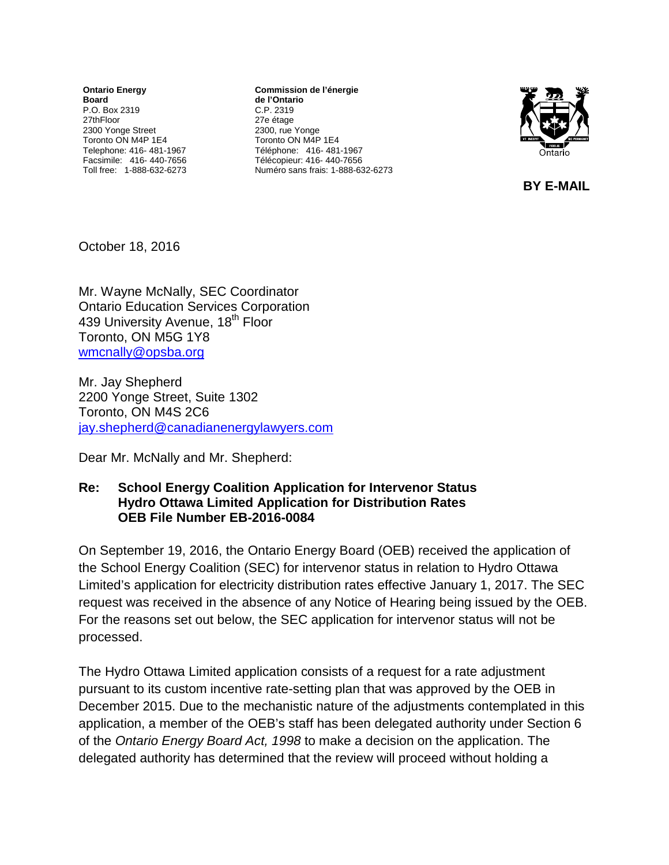**Ontario Energy Board** P.O. Box 2319 27thFloor 2300 Yonge Street Toronto ON M4P 1E4 Telephone: 416- 481-1967 Facsimile: 416- 440-7656 Toll free: 1-888-632-6273

**Commission de l'énergie de l'Ontario** C.P. 2319 27e étage 2300, rue Yonge Toronto ON M4P 1E4 Téléphone: 416- 481-1967 Télécopieur: 416- 440-7656 Numéro sans frais: 1-888-632-6273



 **BY E-MAIL** 

October 18, 2016

Mr. Wayne McNally, SEC Coordinator Ontario Education Services Corporation 439 University Avenue, 18<sup>th</sup> Floor Toronto, ON M5G 1Y8 [wmcnally@opsba.org](mailto:wmcnally@opsba.org)

Mr. Jay Shepherd 2200 Yonge Street, Suite 1302 Toronto, ON M4S 2C6 [jay.shepherd@canadianenergylawyers.com](mailto:jay.shepherd@canadianenergylawyers.com)

Dear Mr. McNally and Mr. Shepherd:

## **Re: School Energy Coalition Application for Intervenor Status Hydro Ottawa Limited Application for Distribution Rates OEB File Number EB-2016-0084**

On September 19, 2016, the Ontario Energy Board (OEB) received the application of the School Energy Coalition (SEC) for intervenor status in relation to Hydro Ottawa Limited's application for electricity distribution rates effective January 1, 2017. The SEC request was received in the absence of any Notice of Hearing being issued by the OEB. For the reasons set out below, the SEC application for intervenor status will not be processed.

The Hydro Ottawa Limited application consists of a request for a rate adjustment pursuant to its custom incentive rate-setting plan that was approved by the OEB in December 2015. Due to the mechanistic nature of the adjustments contemplated in this application, a member of the OEB's staff has been delegated authority under Section 6 of the *Ontario Energy Board Act, 1998* to make a decision on the application. The delegated authority has determined that the review will proceed without holding a